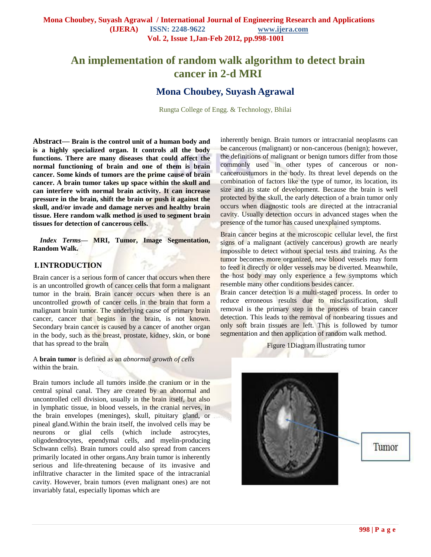# **An implementation of random walk algorithm to detect brain cancer in 2-d MRI**

# **Mona Choubey, Suyash Agrawal**

Rungta College of Engg. & Technology, Bhilai

**Abstract— Brain is the control unit of a human body and is a highly specialized organ. It controls all the body functions. There are many diseases that could affect the normal functioning of brain and one of them is brain cancer. Some kinds of tumors are the prime cause of brain cancer. A brain tumor takes up space within the skull and can interfere with normal brain activity. It can increase pressure in the brain, shift the brain or push it against the skull, and/or invade and damage nerves and healthy brain tissue. Here random walk method is used to segment brain tissues for detection of cancerous cells.**

*Index Terms***— MRI, Tumor, Image Segmentation, Random Walk.**

#### **I.INTRODUCTION**

Brain cancer is a serious form of cancer that occurs when there is an uncontrolled growth of cancer cells that form a malignant tumor in the brain. Brain cancer occurs when there is an uncontrolled growth of cancer cells in the brain that form a malignant brain tumor. The underlying cause of primary brain cancer, cancer that begins in the brain, is not known. Secondary brain cancer is caused by a cancer of another organ in the body, such as the breast, prostate, kidney, skin, or bone that has spread to the brain

A **brain tumor** is defined as an *abnormal growth of cells* within the brain.

Brain tumors include all tumors inside the cranium or in the central spinal canal. They are created by an abnormal and uncontrolled cell division, usually in the brain itself, but also in lymphatic tissue, in blood vessels, in the cranial nerves, in the brain envelopes (meninges), skull, pituitary gland, or pineal gland.Within the brain itself, the involved cells may be neurons or glial cells (which include astrocytes, oligodendrocytes, ependymal cells, and myelin-producing Schwann cells). Brain tumors could also spread from cancers primarily located in other organs.Any brain tumor is inherently serious and life-threatening because of its invasive and infiltrative character in the limited space of the intracranial cavity. However, brain tumors (even malignant ones) are not invariably fatal, especially lipomas which are

inherently benign. Brain tumors or intracranial neoplasms can be cancerous (malignant) or non-cancerous (benign); however, the definitions of malignant or benign tumors differ from those commonly used in other types of cancerous or noncanceroustumors in the body. Its threat level depends on the combination of factors like the type of tumor, its location, its size and its state of development. Because the brain is well protected by the skull, the early detection of a brain tumor only occurs when diagnostic tools are directed at the intracranial cavity. Usually detection occurs in advanced stages when the presence of the tumor has caused unexplained symptoms.

Brain cancer begins at the microscopic cellular level, the first signs of a malignant (actively cancerous) growth are nearly impossible to detect without special tests and training. As the tumor becomes more organized, new blood vessels may form to feed it directly or older vessels may be diverted. Meanwhile, the host body may only experience a few symptoms which resemble many other conditions besides cancer.

Brain cancer detection is a multi-staged process. In order to reduce erroneous results due to misclassification, skull removal is the primary step in the process of brain cancer detection. This leads to the removal of nonbearing tissues and only soft brain tissues are left. This is followed by tumor segmentation and then application of random walk method.

Figure 1Diagram illustrating tumor

Tumor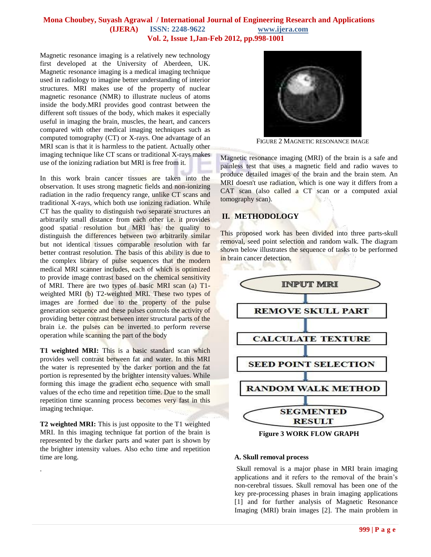#### **Mona Choubey, Suyash Agrawal / International Journal of Engineering Research and Applications (IJERA) ISSN: 2248-9622 www.ijera.com Vol. 2, Issue 1,Jan-Feb 2012, pp.998-1001**

Magnetic resonance imaging is a relatively new technology first developed at the [University of Aberdeen,](http://en.wikipedia.org/wiki/University_of_Aberdeen) UK. Magnetic resonance imaging is a medical imaging technique used in radiology to imagine better understanding of interior structures. MRI makes use of the property of nuclear magnetic resonance (NMR) to illustrate nucleus of atoms inside the body.MRI provides good [contrast](http://en.wikipedia.org/wiki/Contrast_(vision)) between the different [soft tissues](http://en.wikipedia.org/wiki/Soft_tissues) of the body, which makes it especially useful in imaging the [brain,](http://en.wikipedia.org/wiki/Neurology) [muscles,](http://en.wikipedia.org/wiki/Human_musculoskeletal_system) the [heart,](http://en.wikipedia.org/wiki/Cardiovascular) and [cancers](http://en.wikipedia.org/wiki/Oncology) compared with other [medical imaging](http://en.wikipedia.org/wiki/Medical_imaging) techniques such as [computed tomography](http://en.wikipedia.org/wiki/Computed_tomography) (CT) or [X-rays.](http://en.wikipedia.org/wiki/Medical_radiography) One advantage of an MRI scan is that it is harmless to the patient. Actually other imaging technique like CT scans or traditional X-rays makes use of the ionizing radiation but MRI is free from it.

In this work brain cancer tissues are taken into the observation. It uses strong magnetic fields and non-ionizing radiation in the radio frequency range, unlike [CT scans](http://en.wikipedia.org/wiki/Computed_axial_tomography) and [traditional X-rays,](http://en.wikipedia.org/wiki/Radiography) which both use [ionizing radiation.](http://en.wikipedia.org/wiki/Ionizing_radiation) While CT has the quality to distinguish two separate structures an arbitrarily small distance from each other i.e. it provides good [spatial resolution](http://en.wikipedia.org/wiki/Spatial_resolution) but MRI has the quality to distinguish the differences between two arbitrarily similar but not identical tissues comparable resolution with far better [contrast resolution.](http://en.wikipedia.org/wiki/Contrast_resolution) The basis of this ability is due to the complex library of pulse sequences that the modern medical MRI scanner includes, each of which is optimized to provide image contrast based on the chemical sensitivity of MRI. There are two types of basic MRI scan (a) T1 weighted MRI (b) T2-weighted MRI. These two types of images are formed due to the property of the pulse generation sequence and these pulses controls the activity of providing better contrast between inter structural parts of the brain i.e. the pulses can be inverted to perform reverse operation while scanning the part of the body

**T1 weighted MRI:** This is a basic standard scan which provides well contrast between fat and water. In this MRI the water is represented by the darker portion and the fat portion is represented by the brighter intensity values. While forming this image the gradient echo sequence with small values of the echo time and repetition time. Due to the small repetition time scanning process becomes very fast in this imaging technique.

**T2 weighted MRI:** This is just opposite to the T1 weighted MRI. In this imaging technique fat portion of the brain is represented by the darker parts and water part is shown by the brighter intensity values. Also echo time and repetition time are long.

.



FIGURE 2 MAGNETIC RESONANCE IMAGE

Magnetic resonance imaging (MRI) of the brain is a safe and painless test that uses a magnetic field and radio waves to produce detailed images of the brain and the brain stem. An MRI doesn't use radiation, which is one way it differs from a CAT scan (also called a CT scan or a computed axial tomography scan).

# **II. METHODOLOGY**

This proposed work has been divided into three parts-skull removal, seed point selection and random walk. The diagram shown below illustrates the sequence of tasks to be performed in brain cancer detection.



**Figure 3 WORK FLOW GRAPH**

#### **A. Skull removal process**

Skull removal is a major phase in MRI brain imaging applications and it refers to the removal of the brain's non-cerebral tissues. Skull removal has been one of the key pre-processing phases in brain imaging applications [1] and for further analysis of Magnetic Resonance Imaging (MRI) brain images [2]. The main problem in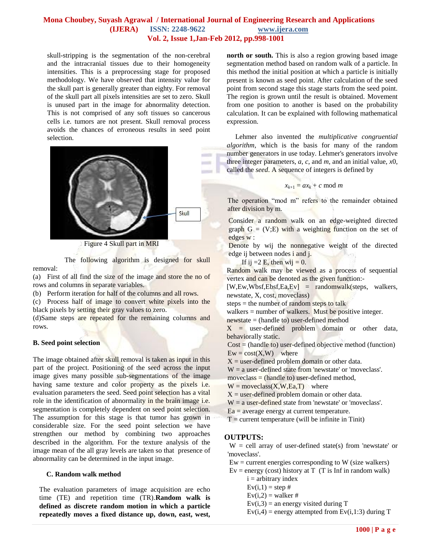### **Mona Choubey, Suyash Agrawal / International Journal of Engineering Research and Applications (IJERA) ISSN: 2248-9622 www.ijera.com Vol. 2, Issue 1,Jan-Feb 2012, pp.998-1001**

skull-stripping is the segmentation of the non-cerebral and the intracranial tissues due to their homogeneity intensities. This is a preprocessing stage for proposed methodology. We have observed that intensity value for the skull part is generally greater than eighty. For removal of the skull part all pixels intensities are set to zero. Skull is unused part in the image for abnormality detection. This is not comprised of any soft tissues so cancerous cells i.e. tumors are not present. Skull removal process avoids the chances of erroneous results in seed point selection.



Figure 4 Skull part in MRI

The following algorithm is designed for skull removal:

(a) First of all find the size of the image and store the no of rows and columns in separate variables.

(b) Perform iteration for half of the columns and all rows.

(c) Process half of image to convert white pixels into the black pixels by setting their gray values to zero.

(d)Same steps are repeated for the remaining columns and rows.

#### **B. Seed point selection**

The image obtained after skull removal is taken as input in this part of the project. Positioning of the seed across the input image gives many possible sub-segmentations of the image having same texture and color property as the pixels i.e. evaluation parameters the seed. Seed point selection has a vital role in the identification of abnormality in the brain image i.e. segmentation is completely dependent on seed point selection. The assumption for this stage is that tumor has grown in considerable size. For the seed point selection we have strengthen our method by combining two approaches described in the algorithm. For the texture analysis of the image mean of the all gray levels are taken so that presence of abnormality can be determined in the input image.

#### **C. Random walk method**

The evaluation parameters of image acquisition are echo time (TE) and repetition time (TR).**Random walk is defined as discrete random motion in which a particle repeatedly moves a fixed distance up, down, east, west,**  **north or south.** This is also a region growing based image segmentation method based on random walk of a particle. In this method the initial position at which a particle is initially present is known as seed point. After calculation of the seed point from second stage this stage starts from the seed point. The region is grown until the result is obtained. Movement from one position to another is based on the probability calculation. It can be explained with following mathematical expression.

 Lehmer also invented the *multiplicative congruential algorithm*, which is the basis for many of the random number generators in use today. Lehmer's generators involve three integer parameters, *a*, *c*, and *m*, and an initial value, *x*0, called the *seed*. A sequence of integers is defined by

$$
x_{k+1} = ax_k + c \mod m
$$

The operation "mod m" refers to the remainder obtained after division by m.

Consider a random walk on an edge-weighted directed graph  $G = (V;E)$  with a weighting function on the set of edges w :

Denote by wij the nonnegative weight of the directed edge ij between nodes i and j.

If ij  $=2$  E, then wij  $= 0$ .

Random walk may be viewed as a process of sequential vertex and can be denoted as the given function:-

 $[W,Ew,Wbsf,Ebsf,Ea,Ev] = \text{randomwalk}(steps, walkers,$ newstate, X, cost, moveclass)

steps = the number of random steps to talk

walkers = number of walkers. Must be positive integer.

newstate = (handle to) user-defined method

 $X =$  user-defined problem domain or other data, behaviorally static.

Cost = (handle to) user-defined objective method (function)  $Ew = \text{cost}(X, W)$  where

 $X =$  user-defined problem domain or other data.

 $W = a$  user-defined state from 'newstate' or 'moveclass'.

moveclass  $=$  (handle to) user-defined method,

 $W =$  moveclass $(X, W, Ea, T)$  where

 $X =$  user-defined problem domain or other data.

 $W = a$  user-defined state from 'newstate' or 'moveclass'.

 $Ea$  = average energy at current temperature.

 $T =$  current temperature (will be infinite in Tinit)

## **OUTPUTS:**

 $W =$  cell array of user-defined state(s) from 'newstate' or 'moveclass'.

 $Ew =$  current energies corresponding to W (size walkers)

- $Ev = energy (cost) history at T (T is Inf in random walk)$  $i =$  arbitrary index
	- $Ev(i,1) = step #$
	- $Ev(i,2) = walker \#$
	- $Ev(i,3) =$  an energy visited during T
	- $Ev(i,4)$  = energy attempted from  $Ev(i,1:3)$  during T